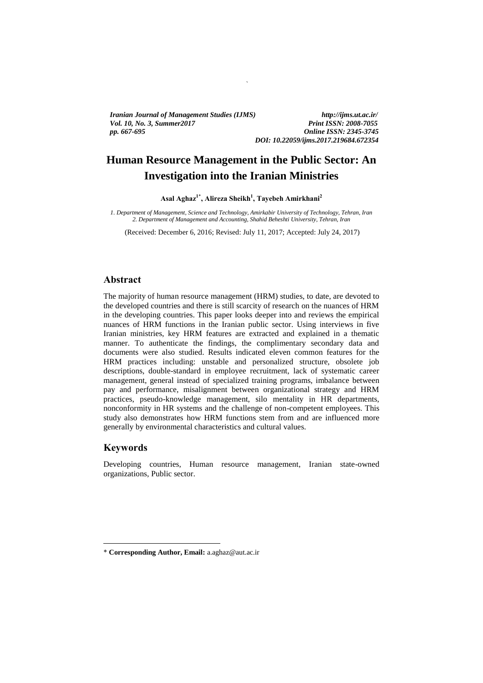*Iranian Journal of Management Studies (IJMS) http://ijms.ut.ac.ir/ Vol. 10, No. 3, Summer2017 Print ISSN: 2008-7055 pp. 667-695 Online ISSN: 2345-3745*

*DOI: 10.22059/ijms.2017.219684.672354*

# **Human Resource Management in the Public Sector: An Investigation into the Iranian Ministries**

`

**Asal Aghaz<sup>1</sup>**\* **, Alireza Sheikh<sup>1</sup> , Tayebeh Amirkhani<sup>2</sup>**

*1. Department of Management, Science and Technology, Amirkabir University of Technology, Tehran, Iran 2. Department of Management and Accounting, Shahid Beheshti University, Tehran, Iran*

(Received: December 6, 2016; Revised: July 11, 2017; Accepted: July 24, 2017)

## **Abstract**

The majority of human resource management (HRM) studies, to date, are devoted to the developed countries and there is still scarcity of research on the nuances of HRM in the developing countries. This paper looks deeper into and reviews the empirical nuances of HRM functions in the Iranian public sector. Using interviews in five Iranian ministries, key HRM features are extracted and explained in a thematic manner. To authenticate the findings, the complimentary secondary data and documents were also studied. Results indicated eleven common features for the HRM practices including: unstable and personalized structure, obsolete job descriptions, double-standard in employee recruitment, lack of systematic career management, general instead of specialized training programs, imbalance between pay and performance, misalignment between organizational strategy and HRM practices, pseudo-knowledge management, silo mentality in HR departments, nonconformity in HR systems and the challenge of non-competent employees. This study also demonstrates how HRM functions stem from and are influenced more generally by environmental characteristics and cultural values.

## **Keywords**

1

Developing countries, Human resource management, Iranian state-owned organizations, Public sector.

<sup>\*</sup> **Corresponding Author, Email:** a.aghaz@aut.ac.ir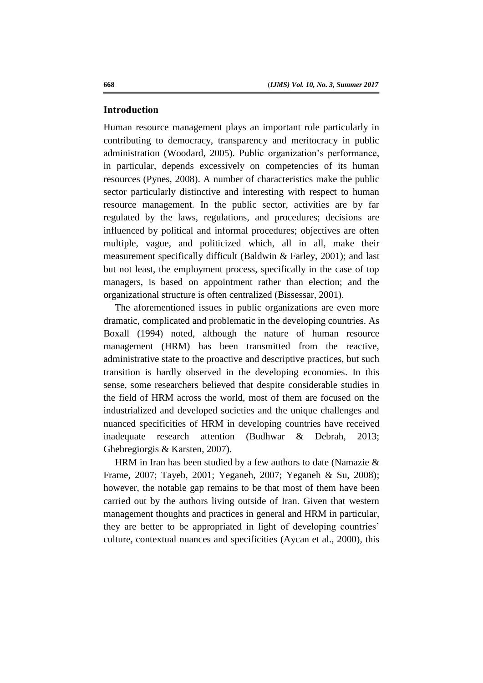## **Introduction**

Human resource management plays an important role particularly in contributing to democracy, transparency and meritocracy in public administration (Woodard, 2005). Public organization's performance, in particular, depends excessively on competencies of its human resources (Pynes, 2008). A number of characteristics make the public sector particularly distinctive and interesting with respect to human resource management. In the public sector, activities are by far regulated by the laws, regulations, and procedures; decisions are influenced by political and informal procedures; objectives are often multiple, vague, and politicized which, all in all, make their measurement specifically difficult (Baldwin & Farley, 2001); and last but not least, the employment process, specifically in the case of top managers, is based on appointment rather than election; and the organizational structure is often centralized (Bissessar, 2001).

The aforementioned issues in public organizations are even more dramatic, complicated and problematic in the developing countries. As Boxall (1994) noted, although the nature of human resource management (HRM) has been transmitted from the reactive, administrative state to the proactive and descriptive practices, but such transition is hardly observed in the developing economies. In this sense, some researchers believed that despite considerable studies in the field of HRM across the world, most of them are focused on the industrialized and developed societies and the unique challenges and nuanced specificities of HRM in developing countries have received inadequate research attention (Budhwar & Debrah, 2013; Ghebregiorgis & Karsten, 2007).

HRM in Iran has been studied by a few authors to date (Namazie & Frame, 2007; Tayeb, 2001; Yeganeh, 2007; Yeganeh & Su, 2008); however, the notable gap remains to be that most of them have been carried out by the authors living outside of Iran. Given that western management thoughts and practices in general and HRM in particular, they are better to be appropriated in light of developing countries' culture, contextual nuances and specificities (Aycan et al., 2000), this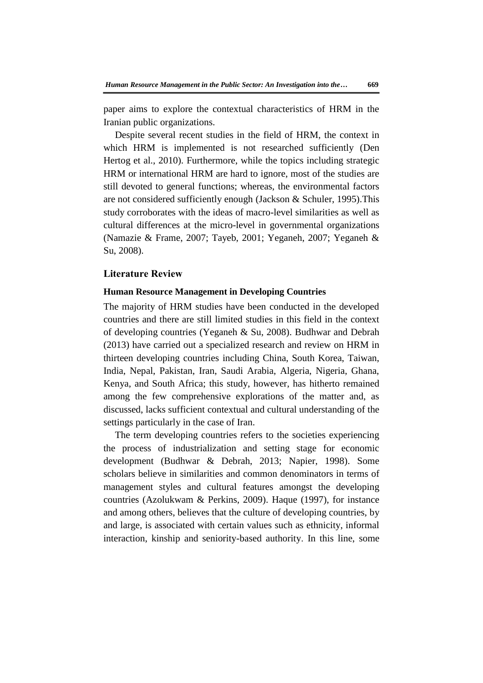paper aims to explore the contextual characteristics of HRM in the Iranian public organizations.

Despite several recent studies in the field of HRM, the context in which HRM is implemented is not researched sufficiently (Den Hertog et al., 2010). Furthermore, while the topics including strategic HRM or international HRM are hard to ignore, most of the studies are still devoted to general functions; whereas, the environmental factors are not considered sufficiently enough (Jackson & Schuler, 1995).This study corroborates with the ideas of macro-level similarities as well as cultural differences at the micro-level in governmental organizations (Namazie & Frame, 2007; Tayeb, 2001; Yeganeh, 2007; Yeganeh & Su, 2008).

## **Literature Review**

### **Human Resource Management in Developing Countries**

The majority of HRM studies have been conducted in the developed countries and there are still limited studies in this field in the context of developing countries (Yeganeh & Su, 2008). Budhwar and Debrah (2013) have carried out a specialized research and review on HRM in thirteen developing countries including China, South Korea, Taiwan, India, Nepal, Pakistan, Iran, Saudi Arabia, Algeria, Nigeria, Ghana, Kenya, and South Africa; this study, however, has hitherto remained among the few comprehensive explorations of the matter and, as discussed, lacks sufficient contextual and cultural understanding of the settings particularly in the case of Iran.

The term developing countries refers to the societies experiencing the process of industrialization and setting stage for economic development (Budhwar & Debrah, 2013; Napier, 1998). Some scholars believe in similarities and common denominators in terms of management styles and cultural features amongst the developing countries (Azolukwam & Perkins, 2009). Haque (1997), for instance and among others, believes that the culture of developing countries, by and large, is associated with certain values such as ethnicity, informal interaction, kinship and seniority-based authority. In this line, some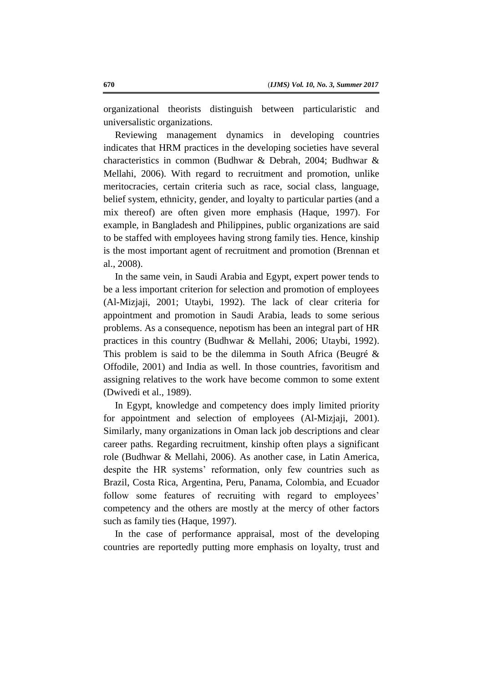organizational theorists distinguish between particularistic and universalistic organizations.

Reviewing management dynamics in developing countries indicates that HRM practices in the developing societies have several characteristics in common (Budhwar & Debrah, 2004; Budhwar & Mellahi, 2006). With regard to recruitment and promotion, unlike meritocracies, certain criteria such as race, social class, language, belief system, ethnicity, gender, and loyalty to particular parties (and a mix thereof) are often given more emphasis (Haque, 1997). For example, in Bangladesh and Philippines, public organizations are said to be staffed with employees having strong family ties. Hence, kinship is the most important agent of recruitment and promotion (Brennan et al., 2008).

In the same vein, in Saudi Arabia and Egypt, expert power tends to be a less important criterion for selection and promotion of employees (Al-Mizjaji, 2001; Utaybi, 1992). The lack of clear criteria for appointment and promotion in Saudi Arabia, leads to some serious problems. As a consequence, nepotism has been an integral part of HR practices in this country (Budhwar & Mellahi, 2006; Utaybi, 1992). This problem is said to be the dilemma in South Africa (Beugré & Offodile, 2001) and India as well. In those countries, favoritism and assigning relatives to the work have become common to some extent (Dwivedi et al., 1989).

In Egypt, knowledge and competency does imply limited priority for appointment and selection of employees (Al-Mizjaji, 2001). Similarly, many organizations in Oman lack job descriptions and clear career paths. Regarding recruitment, kinship often plays a significant role (Budhwar & Mellahi, 2006). As another case, in Latin America, despite the HR systems' reformation, only few countries such as Brazil, Costa Rica, Argentina, Peru, Panama, Colombia, and Ecuador follow some features of recruiting with regard to employees' competency and the others are mostly at the mercy of other factors such as family ties (Haque, 1997).

In the case of performance appraisal, most of the developing countries are reportedly putting more emphasis on loyalty, trust and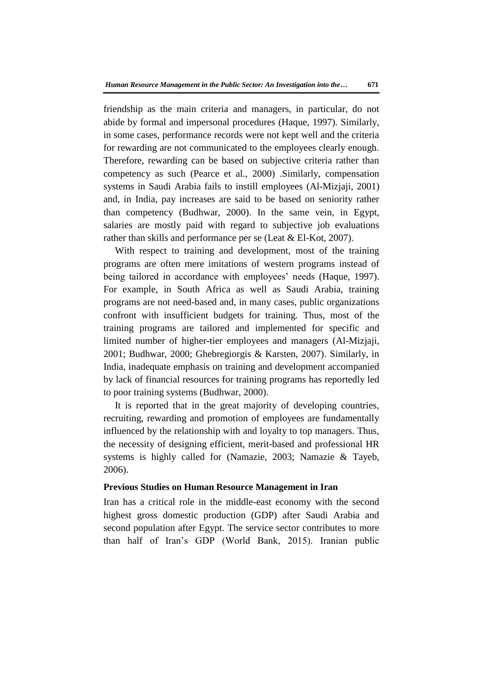friendship as the main criteria and managers, in particular, do not abide by formal and impersonal procedures (Haque, 1997). Similarly, in some cases, performance records were not kept well and the criteria for rewarding are not communicated to the employees clearly enough. Therefore, rewarding can be based on subjective criteria rather than competency as such (Pearce et al., 2000) .Similarly, compensation systems in Saudi Arabia fails to instill employees (Al-Mizjaji, 2001) and, in India, pay increases are said to be based on seniority rather than competency (Budhwar, 2000). In the same vein, in Egypt, salaries are mostly paid with regard to subjective job evaluations rather than skills and performance per se (Leat & El-Kot, 2007).

With respect to training and development, most of the training programs are often mere imitations of western programs instead of being tailored in accordance with employees' needs (Haque, 1997). For example, in South Africa as well as Saudi Arabia, training programs are not need-based and, in many cases, public organizations confront with insufficient budgets for training. Thus, most of the training programs are tailored and implemented for specific and limited number of higher-tier employees and managers (Al-Mizjaji, 2001; Budhwar, 2000; Ghebregiorgis & Karsten, 2007). Similarly, in India, inadequate emphasis on training and development accompanied by lack of financial resources for training programs has reportedly led to poor training systems (Budhwar, 2000).

It is reported that in the great majority of developing countries, recruiting, rewarding and promotion of employees are fundamentally influenced by the relationship with and loyalty to top managers. Thus, the necessity of designing efficient, merit-based and professional HR systems is highly called for (Namazie, 2003; Namazie & Tayeb, 2006).

#### **Previous Studies on Human Resource Management in Iran**

Iran has a critical role in the middle-east economy with the second highest gross domestic production (GDP) after Saudi Arabia and second population after Egypt. The service sector contributes to more than half of Iran's GDP (World Bank, 2015). Iranian public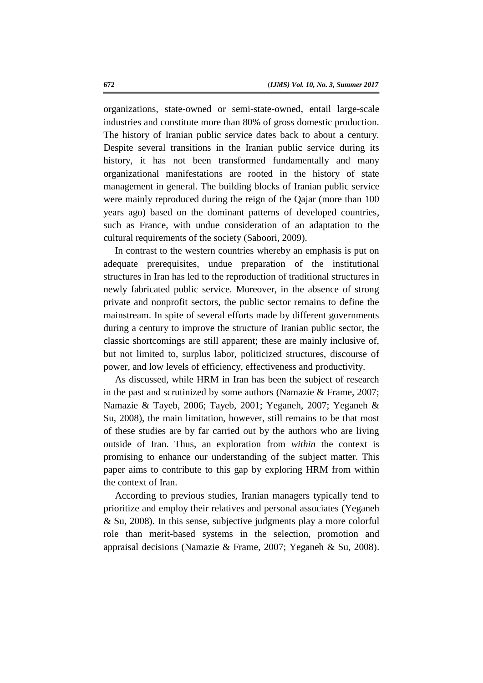organizations, state-owned or semi-state-owned, entail large-scale industries and constitute more than 80% of gross domestic production. The history of Iranian public service dates back to about a century. Despite several transitions in the Iranian public service during its history, it has not been transformed fundamentally and many organizational manifestations are rooted in the history of state management in general. The building blocks of Iranian public service were mainly reproduced during the reign of the Qajar (more than 100 years ago) based on the dominant patterns of developed countries, such as France, with undue consideration of an adaptation to the cultural requirements of the society (Saboori, 2009).

In contrast to the western countries whereby an emphasis is put on adequate prerequisites, undue preparation of the institutional structures in Iran has led to the reproduction of traditional structures in newly fabricated public service. Moreover, in the absence of strong private and nonprofit sectors, the public sector remains to define the mainstream. In spite of several efforts made by different governments during a century to improve the structure of Iranian public sector, the classic shortcomings are still apparent; these are mainly inclusive of, but not limited to, surplus labor, politicized structures, discourse of power, and low levels of efficiency, effectiveness and productivity.

As discussed, while HRM in Iran has been the subject of research in the past and scrutinized by some authors (Namazie & Frame, 2007; Namazie & Tayeb, 2006; Tayeb, 2001; Yeganeh, 2007; Yeganeh & Su, 2008), the main limitation, however, still remains to be that most of these studies are by far carried out by the authors who are living outside of Iran. Thus, an exploration from *within* the context is promising to enhance our understanding of the subject matter. This paper aims to contribute to this gap by exploring HRM from within the context of Iran.

According to previous studies, Iranian managers typically tend to prioritize and employ their relatives and personal associates (Yeganeh & Su, 2008). In this sense, subjective judgments play a more colorful role than merit-based systems in the selection, promotion and appraisal decisions (Namazie & Frame, 2007; Yeganeh & Su, 2008).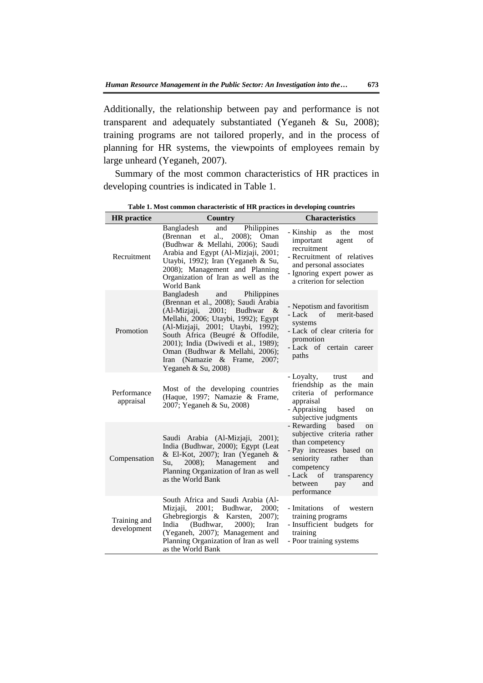Additionally, the relationship between pay and performance is not transparent and adequately substantiated (Yeganeh & Su, 2008); training programs are not tailored properly, and in the process of planning for HR systems, the viewpoints of employees remain by large unheard (Yeganeh, 2007).

Summary of the most common characteristics of HR practices in developing countries is indicated in Table 1.

| <b>HR</b> practice          | Country                                                                                                                                                                                                                                                                                                                                                              | <b>Characteristics</b>                                                                                                                                                                                                    |
|-----------------------------|----------------------------------------------------------------------------------------------------------------------------------------------------------------------------------------------------------------------------------------------------------------------------------------------------------------------------------------------------------------------|---------------------------------------------------------------------------------------------------------------------------------------------------------------------------------------------------------------------------|
| Recruitment                 | Bangladesh<br>and<br>Philippines<br>2008); Oman<br>(Brennan et<br>al.,<br>(Budhwar & Mellahi, 2006); Saudi<br>Arabia and Egypt (Al-Mizjaji, 2001;<br>Utaybi, 1992); Iran (Yeganeh & Su,<br>2008); Management and Planning<br>Organization of Iran as well as the<br>World Bank                                                                                       | - Kinship<br>the<br>as<br>most<br>important<br>of<br>agent<br>recruitment<br>- Recruitment of relatives<br>and personal associates<br>- Ignoring expert power as<br>a criterion for selection                             |
| Promotion                   | Bangladesh<br>Philippines<br>and<br>(Brennan et al., 2008); Saudi Arabia<br>(Al-Mizjaji,<br>2001; Budhwar<br>$-\&$<br>Mellahi, 2006; Utaybi, 1992); Egypt<br>(Al-Mizjaji, 2001; Utaybi, 1992);<br>South Africa (Beugré & Offodile,<br>2001); India (Dwivedi et al., 1989);<br>Oman (Budhwar & Mellahi, 2006);<br>Iran (Namazie & Frame, 2007;<br>Yeganeh & Su, 2008) | - Nepotism and favoritism<br>of merit-based<br>- Lack<br>systems<br>- Lack of clear criteria for<br>promotion<br>- Lack of certain career<br>paths                                                                        |
| Performance<br>appraisal    | Most of the developing countries<br>(Haque, 1997; Namazie & Frame,<br>2007; Yeganeh & Su, 2008)                                                                                                                                                                                                                                                                      | - Loyalty,<br>trust<br>and<br>friendship as the main<br>criteria of performance<br>appraisal<br>- Appraising based<br>on<br>subjective judgments                                                                          |
| Compensation                | Saudi Arabia (Al-Mizjaji, 2001);<br>India (Budhwar, 2000); Egypt (Leat<br>& El-Kot, 2007); Iran (Yeganeh &<br>Su,<br>$2008$ :<br>Management<br>and<br>Planning Organization of Iran as well<br>as the World Bank                                                                                                                                                     | - Rewarding<br>based<br>on<br>subjective criteria rather<br>than competency<br>- Pay increases based on<br>seniority<br>rather<br>than<br>competency<br>- Lack of<br>transparency<br>between<br>and<br>pay<br>performance |
| Training and<br>development | South Africa and Saudi Arabia (Al-<br>Mizjaji,<br>2001:<br>Budhwar,<br><b>2000:</b><br>Ghebregiorgis & Karsten,<br>$2007$ ;<br>(Budhwar,<br>India<br>$2000$ :<br>Iran<br>(Yeganeh, 2007); Management and<br>Planning Organization of Iran as well<br>as the World Bank                                                                                               | - Imitations<br>of<br>western<br>training programs<br>- Insufficient budgets for<br>training<br>- Poor training systems                                                                                                   |

**Table 1. Most common characteristic of HR practices in developing countries**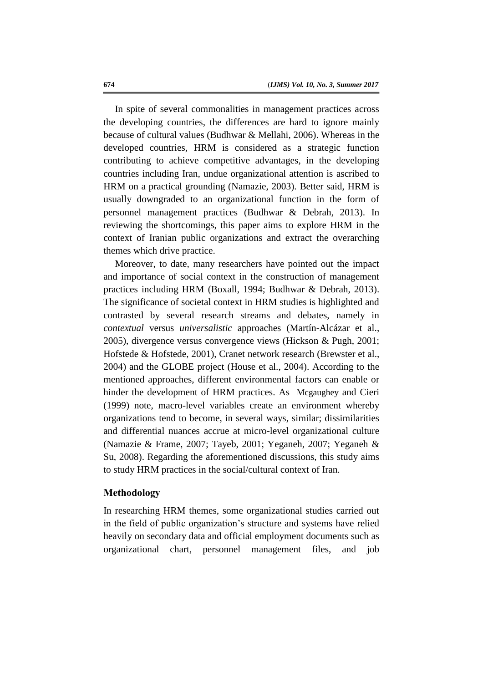In spite of several commonalities in management practices across the developing countries, the differences are hard to ignore mainly because of cultural values (Budhwar & Mellahi, 2006). Whereas in the developed countries, HRM is considered as a strategic function contributing to achieve competitive advantages, in the developing countries including Iran, undue organizational attention is ascribed to HRM on a practical grounding (Namazie, 2003). Better said, HRM is usually downgraded to an organizational function in the form of personnel management practices (Budhwar & Debrah, 2013). In reviewing the shortcomings, this paper aims to explore HRM in the context of Iranian public organizations and extract the overarching themes which drive practice.

Moreover, to date, many researchers have pointed out the impact and importance of social context in the construction of management practices including HRM (Boxall, 1994; Budhwar & Debrah, 2013). The significance of societal context in HRM studies is highlighted and contrasted by several research streams and debates, namely in *contextual* versus *universalistic* approaches (Martín-Alcázar et al., 2005), divergence versus convergence views (Hickson & Pugh, 2001; Hofstede & Hofstede, 2001), Cranet network research (Brewster et al., 2004) and the GLOBE project (House et al., 2004). According to the mentioned approaches, different environmental factors can enable or hinder the development of HRM practices. As Mcgaughey and Cieri (1999) note, macro-level variables create an environment whereby organizations tend to become, in several ways, similar; dissimilarities and differential nuances accrue at micro-level organizational culture (Namazie & Frame, 2007; Tayeb, 2001; Yeganeh, 2007; Yeganeh & Su, 2008). Regarding the aforementioned discussions, this study aims to study HRM practices in the social/cultural context of Iran.

# **Methodology**

In researching HRM themes, some organizational studies carried out in the field of public organization's structure and systems have relied heavily on secondary data and official employment documents such as organizational chart, personnel management files, and job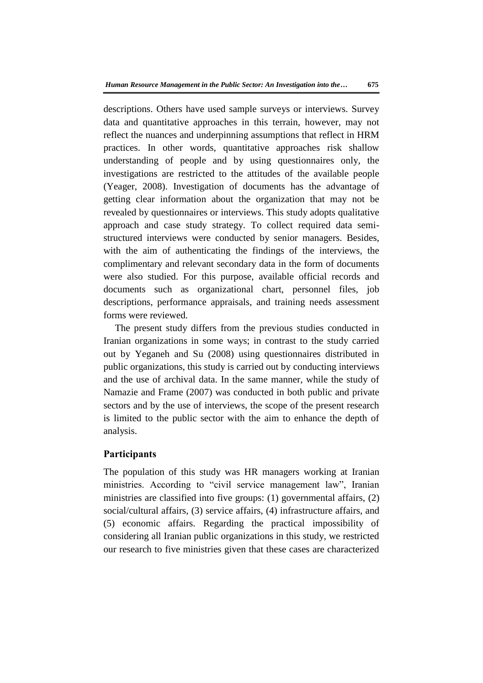descriptions. Others have used sample surveys or interviews. Survey data and quantitative approaches in this terrain, however, may not reflect the nuances and underpinning assumptions that reflect in HRM practices. In other words, quantitative approaches risk shallow understanding of people and by using questionnaires only, the investigations are restricted to the attitudes of the available people (Yeager, 2008). Investigation of documents has the advantage of getting clear information about the organization that may not be revealed by questionnaires or interviews. This study adopts qualitative approach and case study strategy. To collect required data semistructured interviews were conducted by senior managers. Besides, with the aim of authenticating the findings of the interviews, the complimentary and relevant secondary data in the form of documents were also studied. For this purpose, available official records and documents such as organizational chart, personnel files, job descriptions, performance appraisals, and training needs assessment forms were reviewed.

The present study differs from the previous studies conducted in Iranian organizations in some ways; in contrast to the study carried out by Yeganeh and Su (2008) using questionnaires distributed in public organizations, this study is carried out by conducting interviews and the use of archival data. In the same manner, while the study of Namazie and Frame (2007) was conducted in both public and private sectors and by the use of interviews, the scope of the present research is limited to the public sector with the aim to enhance the depth of analysis.

# **Participants**

The population of this study was HR managers working at Iranian ministries. According to "civil service management law", Iranian ministries are classified into five groups: (1) governmental affairs, (2) social/cultural affairs, (3) service affairs, (4) infrastructure affairs, and (5) economic affairs. Regarding the practical impossibility of considering all Iranian public organizations in this study, we restricted our research to five ministries given that these cases are characterized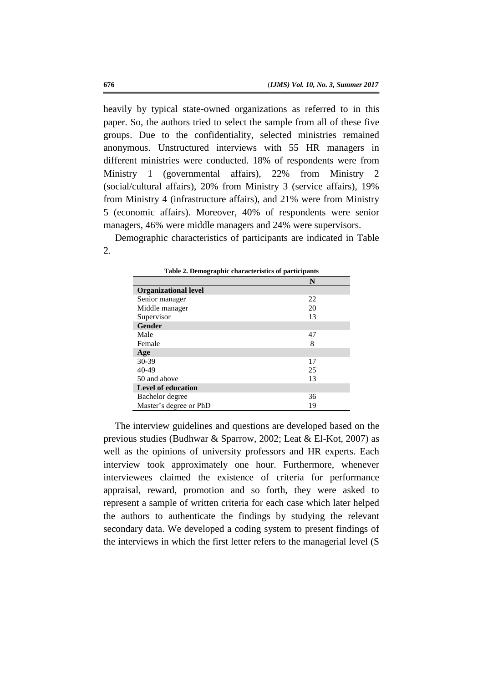heavily by typical state-owned organizations as referred to in this paper. So, the authors tried to select the sample from all of these five groups. Due to the confidentiality, selected ministries remained anonymous. Unstructured interviews with 55 HR managers in different ministries were conducted. 18% of respondents were from Ministry 1 (governmental affairs), 22% from Ministry 2 (social/cultural affairs), 20% from Ministry 3 (service affairs), 19% from Ministry 4 (infrastructure affairs), and 21% were from Ministry 5 (economic affairs). Moreover, 40% of respondents were senior managers, 46% were middle managers and 24% were supervisors.

Demographic characteristics of participants are indicated in Table 2.

|                             | N  |
|-----------------------------|----|
| <b>Organizational level</b> |    |
| Senior manager              | 22 |
| Middle manager              | 20 |
| Supervisor                  | 13 |
| <b>Gender</b>               |    |
| Male                        | 47 |
| Female                      | 8  |
| Age                         |    |
| 30-39                       | 17 |
| 40-49                       | 25 |
| 50 and above                | 13 |
| <b>Level of education</b>   |    |
| Bachelor degree             | 36 |
| Master's degree or PhD      | 19 |

**Table 2. Demographic characteristics of participants**

The interview guidelines and questions are developed based on the previous studies (Budhwar & Sparrow, 2002; Leat & El-Kot, 2007) as well as the opinions of university professors and HR experts. Each interview took approximately one hour. Furthermore, whenever interviewees claimed the existence of criteria for performance appraisal, reward, promotion and so forth, they were asked to represent a sample of written criteria for each case which later helped the authors to authenticate the findings by studying the relevant secondary data. We developed a coding system to present findings of the interviews in which the first letter refers to the managerial level (S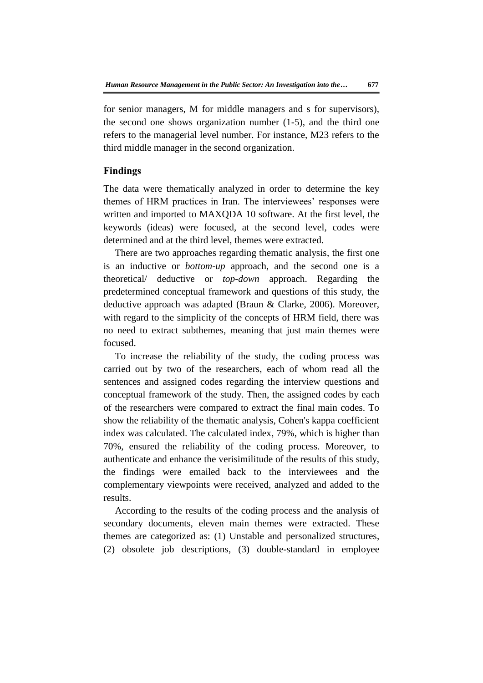for senior managers, M for middle managers and s for supervisors), the second one shows organization number (1-5), and the third one refers to the managerial level number. For instance, M23 refers to the third middle manager in the second organization.

# **Findings**

The data were thematically analyzed in order to determine the key themes of HRM practices in Iran. The interviewees' responses were written and imported to MAXQDA 10 software. At the first level, the keywords (ideas) were focused, at the second level, codes were determined and at the third level, themes were extracted.

There are two approaches regarding thematic analysis, the first one is an inductive or *bottom-up* approach, and the second one is a theoretical/ deductive or *top-down* approach. Regarding the predetermined conceptual framework and questions of this study, the deductive approach was adapted (Braun & Clarke, 2006). Moreover, with regard to the simplicity of the concepts of HRM field, there was no need to extract subthemes, meaning that just main themes were focused.

To increase the reliability of the study, the coding process was carried out by two of the researchers, each of whom read all the sentences and assigned codes regarding the interview questions and conceptual framework of the study. Then, the assigned codes by each of the researchers were compared to extract the final main codes. To show the reliability of the thematic analysis, Cohen's kappa coefficient index was calculated. The calculated index, 79%, which is higher than 70%, ensured the reliability of the coding process. Moreover, to authenticate and enhance the verisimilitude of the results of this study, the findings were emailed back to the interviewees and the complementary viewpoints were received, analyzed and added to the results.

According to the results of the coding process and the analysis of secondary documents, eleven main themes were extracted. These themes are categorized as: (1) Unstable and personalized structures, (2) obsolete job descriptions, (3) double-standard in employee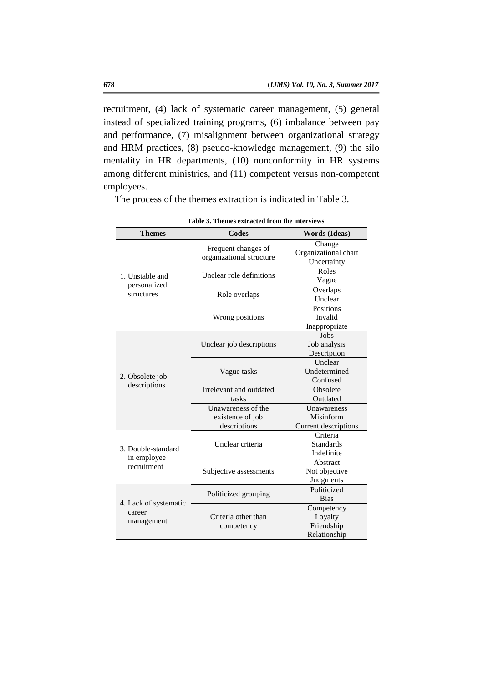recruitment, (4) lack of systematic career management, (5) general instead of specialized training programs, (6) imbalance between pay and performance, (7) misalignment between organizational strategy and HRM practices, (8) pseudo-knowledge management, (9) the silo mentality in HR departments, (10) nonconformity in HR systems among different ministries, and (11) competent versus non-competent employees.

| Table 3. Themes extracted from the interviews |                                                 |                                                     |  |  |
|-----------------------------------------------|-------------------------------------------------|-----------------------------------------------------|--|--|
| <b>Themes</b>                                 | <b>Codes</b>                                    | <b>Words</b> (Ideas)                                |  |  |
|                                               | Frequent changes of<br>organizational structure | Change<br>Organizational chart<br>Uncertainty       |  |  |
| 1. Unstable and                               | Unclear role definitions                        | Roles<br>Vague                                      |  |  |
| personalized<br>structures                    | Role overlaps                                   | Overlaps<br>Unclear                                 |  |  |
|                                               | Wrong positions                                 | Positions<br>Invalid<br>Inappropriate               |  |  |
|                                               | Unclear job descriptions                        | Jobs<br>Job analysis<br>Description                 |  |  |
| 2. Obsolete job                               | Vague tasks                                     | Unclear<br>Undetermined<br>Confused                 |  |  |
| descriptions                                  | Irrelevant and outdated                         | Obsolete                                            |  |  |
|                                               | tasks                                           | Outdated                                            |  |  |
|                                               | Unawareness of the                              | <b>Unawareness</b>                                  |  |  |
|                                               | existence of job                                | Misinform                                           |  |  |
|                                               | descriptions                                    | Current descriptions                                |  |  |
| 3. Double-standard<br>in employee             | Unclear criteria                                | Criteria<br><b>Standards</b><br>Indefinite          |  |  |
| recruitment                                   | Subjective assessments                          | Abstract<br>Not objective<br>Judgments              |  |  |
| 4. Lack of systematic                         | Politicized grouping                            | Politicized<br><b>Bias</b>                          |  |  |
| career<br>management                          | Criteria other than<br>competency               | Competency<br>Loyalty<br>Friendship<br>Relationship |  |  |

The process of the themes extraction is indicated in Table 3.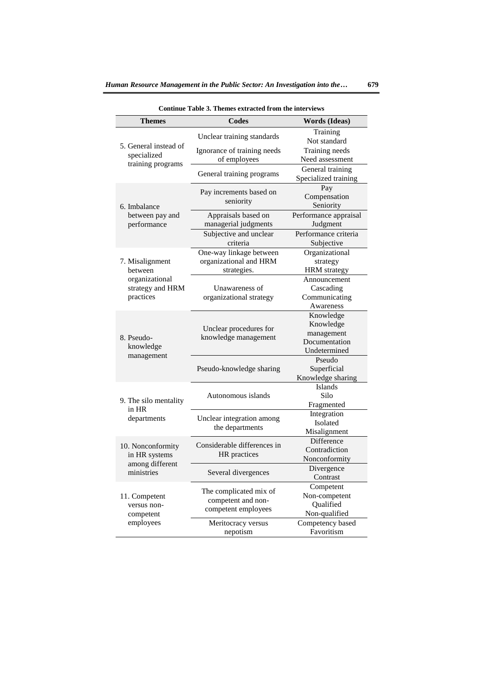| Continue Table 3. Themes extracted from the interviews |                                                                     |                                                                       |  |  |  |
|--------------------------------------------------------|---------------------------------------------------------------------|-----------------------------------------------------------------------|--|--|--|
| <b>Themes</b>                                          | Codes                                                               | <b>Words</b> (Ideas)                                                  |  |  |  |
|                                                        | Unclear training standards                                          | Training<br>Not standard                                              |  |  |  |
| 5. General instead of<br>specialized                   | Ignorance of training needs<br>of employees                         | Training needs<br>Need assessment                                     |  |  |  |
| training programs                                      | General training programs                                           | General training<br>Specialized training                              |  |  |  |
| 6. Imbalance                                           | Pay increments based on<br>seniority                                | Pay<br>Compensation<br>Seniority                                      |  |  |  |
| between pay and<br>performance                         | Appraisals based on<br>managerial judgments                         | Performance appraisal<br>Judgment                                     |  |  |  |
|                                                        | Subjective and unclear<br>criteria                                  | Performance criteria<br>Subjective                                    |  |  |  |
| 7. Misalignment<br>between                             | One-way linkage between<br>organizational and HRM<br>strategies.    | Organizational<br>strategy<br><b>HRM</b> strategy                     |  |  |  |
| organizational<br>strategy and HRM<br>practices        | Unawareness of<br>organizational strategy                           | Announcement<br>Cascading<br>Communicating<br>Awareness               |  |  |  |
| 8. Pseudo-<br>knowledge                                | Unclear procedures for<br>knowledge management                      | Knowledge<br>Knowledge<br>management<br>Documentation<br>Undetermined |  |  |  |
| management                                             | Pseudo-knowledge sharing                                            | Pseudo<br>Superficial<br>Knowledge sharing                            |  |  |  |
| 9. The silo mentality<br>in HR                         | Autonomous islands                                                  | <b>Islands</b><br>Silo<br>Fragmented                                  |  |  |  |
| departments                                            | Unclear integration among<br>the departments                        | Integration<br>Isolated<br>Misalignment                               |  |  |  |
| 10. Nonconformity<br>in HR systems                     | Considerable differences in<br>HR practices                         | Difference<br>Contradiction<br>Nonconformity                          |  |  |  |
| among different<br>ministries                          | Several divergences                                                 | Divergence<br>Contrast                                                |  |  |  |
| 11. Competent<br>versus non-<br>competent              | The complicated mix of<br>competent and non-<br>competent employees | Competent<br>Non-competent<br>Qualified<br>Non-qualified              |  |  |  |
| employees                                              | Meritocracy versus<br>nepotism                                      | Competency based<br>Favoritism                                        |  |  |  |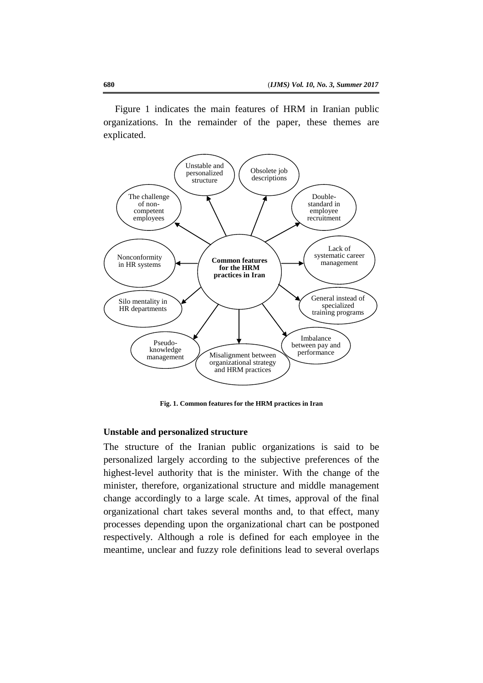Figure 1 indicates the main features of HRM in Iranian public organizations. In the remainder of the paper, these themes are explicated.



**Fig. 1. Common features for the HRM practices in Iran**

### **Unstable and personalized structure**

The structure of the Iranian public organizations is said to be personalized largely according to the subjective preferences of the highest-level authority that is the minister. With the change of the minister, therefore, organizational structure and middle management change accordingly to a large scale. At times, approval of the final organizational chart takes several months and, to that effect, many processes depending upon the organizational chart can be postponed respectively. Although a role is defined for each employee in the meantime, unclear and fuzzy role definitions lead to several overlaps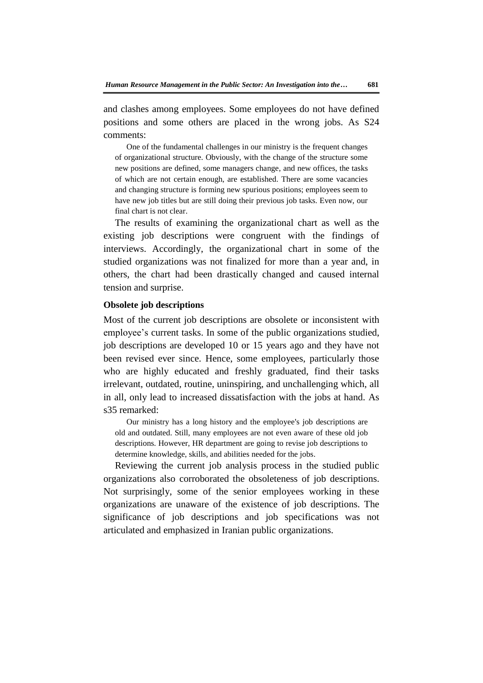and clashes among employees. Some employees do not have defined positions and some others are placed in the wrong jobs. As S24 comments:

One of the fundamental challenges in our ministry is the frequent changes of organizational structure. Obviously, with the change of the structure some new positions are defined, some managers change, and new offices, the tasks of which are not certain enough, are established. There are some vacancies and changing structure is forming new spurious positions; employees seem to have new job titles but are still doing their previous job tasks. Even now, our final chart is not clear.

The results of examining the organizational chart as well as the existing job descriptions were congruent with the findings of interviews. Accordingly, the organizational chart in some of the studied organizations was not finalized for more than a year and, in others, the chart had been drastically changed and caused internal tension and surprise.

#### **Obsolete job descriptions**

Most of the current job descriptions are obsolete or inconsistent with employee's current tasks. In some of the public organizations studied, job descriptions are developed 10 or 15 years ago and they have not been revised ever since. Hence, some employees, particularly those who are highly educated and freshly graduated, find their tasks irrelevant, outdated, routine, uninspiring, and unchallenging which, all in all, only lead to increased dissatisfaction with the jobs at hand. As s35 remarked:

Our ministry has a long history and the employee's job descriptions are old and outdated. Still, many employees are not even aware of these old job descriptions. However, HR department are going to revise job descriptions to determine knowledge, skills, and abilities needed for the jobs.

Reviewing the current job analysis process in the studied public organizations also corroborated the obsoleteness of job descriptions. Not surprisingly, some of the senior employees working in these organizations are unaware of the existence of job descriptions. The significance of job descriptions and job specifications was not articulated and emphasized in Iranian public organizations.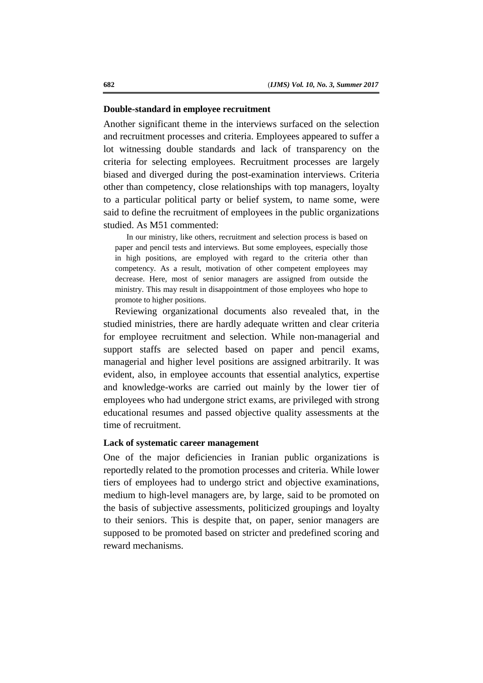### **Double-standard in employee recruitment**

Another significant theme in the interviews surfaced on the selection and recruitment processes and criteria. Employees appeared to suffer a lot witnessing double standards and lack of transparency on the criteria for selecting employees. Recruitment processes are largely biased and diverged during the post-examination interviews. Criteria other than competency, close relationships with top managers, loyalty to a particular political party or belief system, to name some, were said to define the recruitment of employees in the public organizations studied. As M51 commented:

In our ministry, like others, recruitment and selection process is based on paper and pencil tests and interviews. But some employees, especially those in high positions, are employed with regard to the criteria other than competency. As a result, motivation of other competent employees may decrease. Here, most of senior managers are assigned from outside the ministry. This may result in disappointment of those employees who hope to promote to higher positions.

Reviewing organizational documents also revealed that, in the studied ministries, there are hardly adequate written and clear criteria for employee recruitment and selection. While non-managerial and support staffs are selected based on paper and pencil exams, managerial and higher level positions are assigned arbitrarily. It was evident, also, in employee accounts that essential analytics, expertise and knowledge-works are carried out mainly by the lower tier of employees who had undergone strict exams, are privileged with strong educational resumes and passed objective quality assessments at the time of recruitment.

## **Lack of systematic career management**

One of the major deficiencies in Iranian public organizations is reportedly related to the promotion processes and criteria. While lower tiers of employees had to undergo strict and objective examinations, medium to high-level managers are, by large, said to be promoted on the basis of subjective assessments, politicized groupings and loyalty to their seniors. This is despite that, on paper, senior managers are supposed to be promoted based on stricter and predefined scoring and reward mechanisms.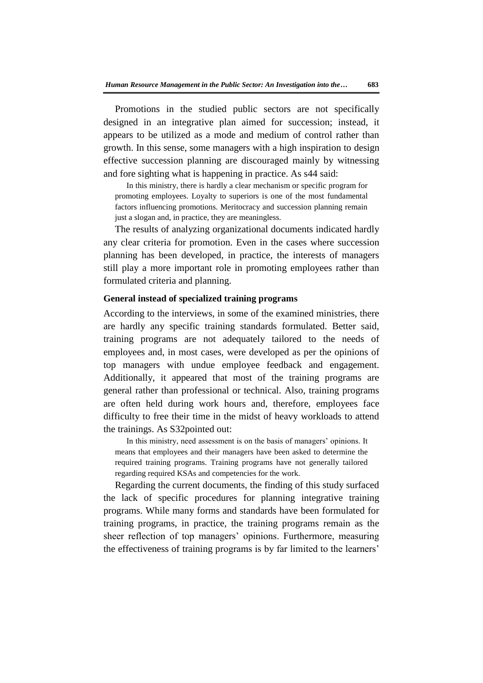Promotions in the studied public sectors are not specifically designed in an integrative plan aimed for succession; instead, it appears to be utilized as a mode and medium of control rather than growth. In this sense, some managers with a high inspiration to design effective succession planning are discouraged mainly by witnessing and fore sighting what is happening in practice. As s44 said:

In this ministry, there is hardly a clear mechanism or specific program for promoting employees. Loyalty to superiors is one of the most fundamental factors influencing promotions. Meritocracy and succession planning remain just a slogan and, in practice, they are meaningless*.*

The results of analyzing organizational documents indicated hardly any clear criteria for promotion. Even in the cases where succession planning has been developed, in practice, the interests of managers still play a more important role in promoting employees rather than formulated criteria and planning.

# **General instead of specialized training programs**

According to the interviews, in some of the examined ministries, there are hardly any specific training standards formulated. Better said, training programs are not adequately tailored to the needs of employees and, in most cases, were developed as per the opinions of top managers with undue employee feedback and engagement. Additionally, it appeared that most of the training programs are general rather than professional or technical. Also, training programs are often held during work hours and, therefore, employees face difficulty to free their time in the midst of heavy workloads to attend the trainings. As S32pointed out:

In this ministry, need assessment is on the basis of managers' opinions. It means that employees and their managers have been asked to determine the required training programs. Training programs have not generally tailored regarding required KSAs and competencies for the work.

Regarding the current documents, the finding of this study surfaced the lack of specific procedures for planning integrative training programs. While many forms and standards have been formulated for training programs, in practice, the training programs remain as the sheer reflection of top managers' opinions. Furthermore, measuring the effectiveness of training programs is by far limited to the learners'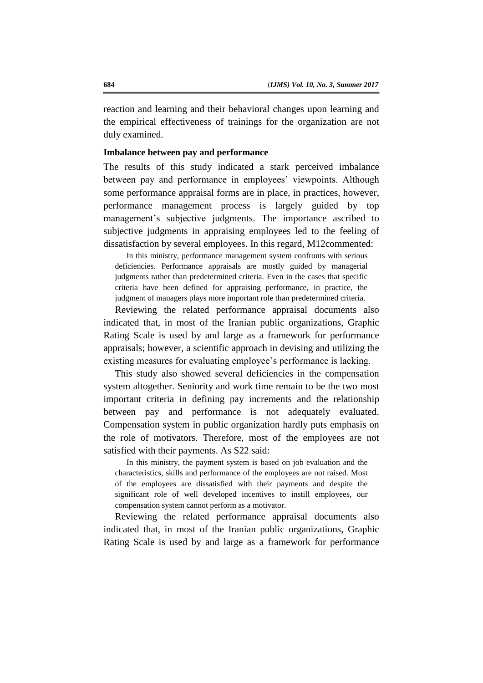reaction and learning and their behavioral changes upon learning and the empirical effectiveness of trainings for the organization are not duly examined.

#### **Imbalance between pay and performance**

The results of this study indicated a stark perceived imbalance between pay and performance in employees' viewpoints. Although some performance appraisal forms are in place, in practices, however, performance management process is largely guided by top management's subjective judgments. The importance ascribed to subjective judgments in appraising employees led to the feeling of dissatisfaction by several employees. In this regard, M12commented:

In this ministry, performance management system confronts with serious deficiencies. Performance appraisals are mostly guided by managerial judgments rather than predetermined criteria. Even in the cases that specific criteria have been defined for appraising performance, in practice, the judgment of managers plays more important role than predetermined criteria.

Reviewing the related performance appraisal documents also indicated that, in most of the Iranian public organizations, Graphic Rating Scale is used by and large as a framework for performance appraisals; however*,* a scientific approach in devising and utilizing the existing measures for evaluating employee's performance is lacking.

This study also showed several deficiencies in the compensation system altogether. Seniority and work time remain to be the two most important criteria in defining pay increments and the relationship between pay and performance is not adequately evaluated. Compensation system in public organization hardly puts emphasis on the role of motivators. Therefore, most of the employees are not satisfied with their payments. As S22 said:

In this ministry, the payment system is based on job evaluation and the characteristics, skills and performance of the employees are not raised. Most of the employees are dissatisfied with their payments and despite the significant role of well developed incentives to instill employees, our compensation system cannot perform as a motivator.

Reviewing the related performance appraisal documents also indicated that, in most of the Iranian public organizations, Graphic Rating Scale is used by and large as a framework for performance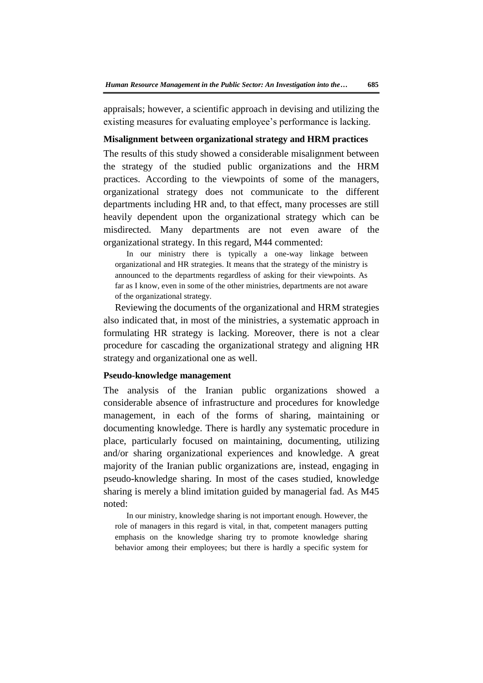appraisals; however*,* a scientific approach in devising and utilizing the existing measures for evaluating employee's performance is lacking.

### **Misalignment between organizational strategy and HRM practices**

The results of this study showed a considerable misalignment between the strategy of the studied public organizations and the HRM practices. According to the viewpoints of some of the managers, organizational strategy does not communicate to the different departments including HR and, to that effect, many processes are still heavily dependent upon the organizational strategy which can be misdirected. Many departments are not even aware of the organizational strategy. In this regard, M44 commented:

In our ministry there is typically a one-way linkage between organizational and HR strategies. It means that the strategy of the ministry is announced to the departments regardless of asking for their viewpoints. As far as I know, even in some of the other ministries, departments are not aware of the organizational strategy.

Reviewing the documents of the organizational and HRM strategies also indicated that, in most of the ministries, a systematic approach in formulating HR strategy is lacking. Moreover, there is not a clear procedure for cascading the organizational strategy and aligning HR strategy and organizational one as well.

#### **Pseudo-knowledge management**

The analysis of the Iranian public organizations showed a considerable absence of infrastructure and procedures for knowledge management, in each of the forms of sharing, maintaining or documenting knowledge. There is hardly any systematic procedure in place, particularly focused on maintaining, documenting, utilizing and/or sharing organizational experiences and knowledge. A great majority of the Iranian public organizations are, instead, engaging in pseudo-knowledge sharing. In most of the cases studied, knowledge sharing is merely a blind imitation guided by managerial fad. As M45 noted:

In our ministry, knowledge sharing is not important enough. However, the role of managers in this regard is vital, in that, competent managers putting emphasis on the knowledge sharing try to promote knowledge sharing behavior among their employees; but there is hardly a specific system for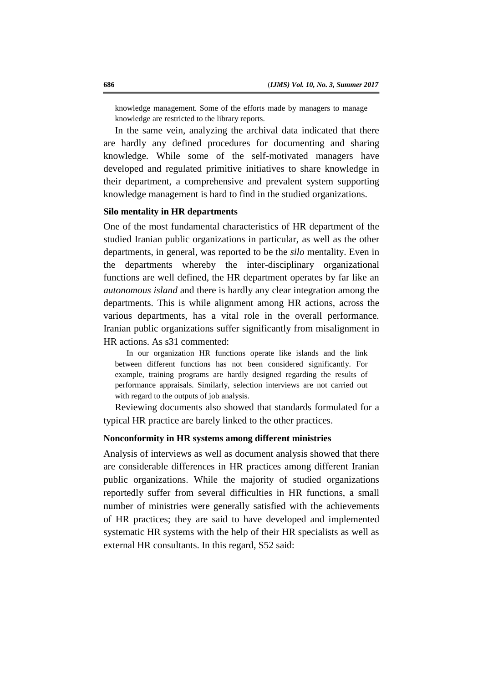knowledge management. Some of the efforts made by managers to manage knowledge are restricted to the library reports.

In the same vein, analyzing the archival data indicated that there are hardly any defined procedures for documenting and sharing knowledge. While some of the self-motivated managers have developed and regulated primitive initiatives to share knowledge in their department, a comprehensive and prevalent system supporting knowledge management is hard to find in the studied organizations.

# **Silo mentality in HR departments**

One of the most fundamental characteristics of HR department of the studied Iranian public organizations in particular, as well as the other departments, in general, was reported to be the *silo* mentality. Even in the departments whereby the inter-disciplinary organizational functions are well defined, the HR department operates by far like an *autonomous island* and there is hardly any clear integration among the departments. This is while alignment among HR actions, across the various departments, has a vital role in the overall performance. Iranian public organizations suffer significantly from misalignment in HR actions. As s31 commented:

In our organization HR functions operate like islands and the link between different functions has not been considered significantly. For example, training programs are hardly designed regarding the results of performance appraisals. Similarly, selection interviews are not carried out with regard to the outputs of job analysis.

Reviewing documents also showed that standards formulated for a typical HR practice are barely linked to the other practices.

## **Nonconformity in HR systems among different ministries**

Analysis of interviews as well as document analysis showed that there are considerable differences in HR practices among different Iranian public organizations. While the majority of studied organizations reportedly suffer from several difficulties in HR functions, a small number of ministries were generally satisfied with the achievements of HR practices; they are said to have developed and implemented systematic HR systems with the help of their HR specialists as well as external HR consultants. In this regard, S52 said: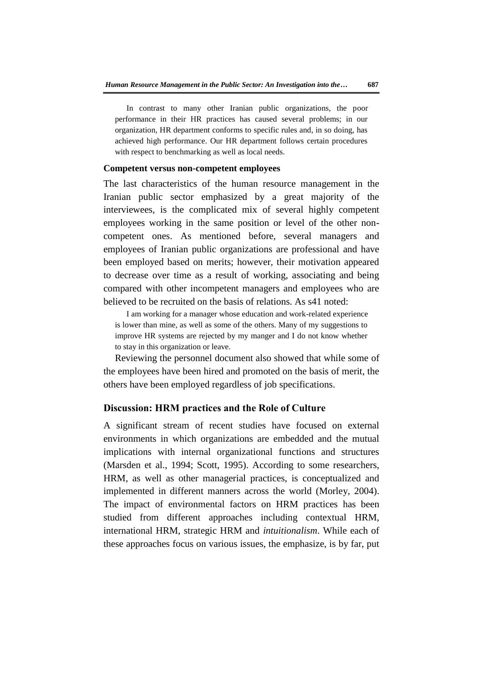In contrast to many other Iranian public organizations, the poor performance in their HR practices has caused several problems; in our organization, HR department conforms to specific rules and, in so doing, has achieved high performance. Our HR department follows certain procedures with respect to benchmarking as well as local needs.

#### **Competent versus non-competent employees**

The last characteristics of the human resource management in the Iranian public sector emphasized by a great majority of the interviewees, is the complicated mix of several highly competent employees working in the same position or level of the other noncompetent ones. As mentioned before, several managers and employees of Iranian public organizations are professional and have been employed based on merits; however, their motivation appeared to decrease over time as a result of working, associating and being compared with other incompetent managers and employees who are believed to be recruited on the basis of relations. As s41 noted:

I am working for a manager whose education and work-related experience is lower than mine, as well as some of the others. Many of my suggestions to improve HR systems are rejected by my manger and I do not know whether to stay in this organization or leave.

Reviewing the personnel document also showed that while some of the employees have been hired and promoted on the basis of merit, the others have been employed regardless of job specifications.

## **Discussion: HRM practices and the Role of Culture**

A significant stream of recent studies have focused on external environments in which organizations are embedded and the mutual implications with internal organizational functions and structures (Marsden et al., 1994; Scott, 1995). According to some researchers, HRM, as well as other managerial practices, is conceptualized and implemented in different manners across the world (Morley, 2004). The impact of environmental factors on HRM practices has been studied from different approaches including contextual HRM, international HRM, strategic HRM and *intuitionalism*. While each of these approaches focus on various issues, the emphasize, is by far, put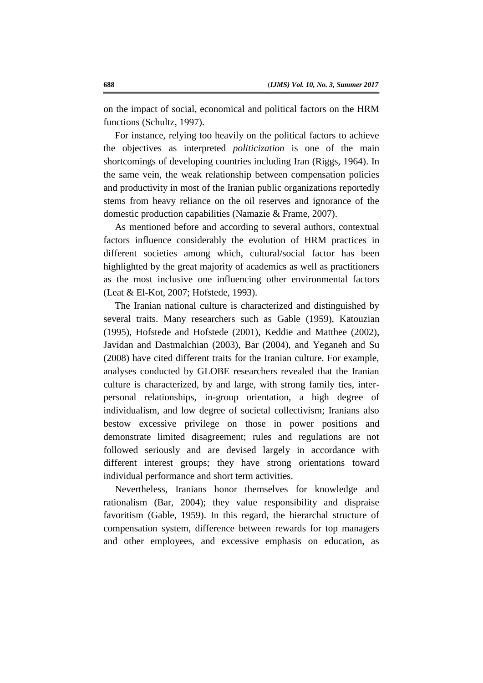on the impact of social, economical and political factors on the HRM functions (Schultz, 1997).

For instance, relying too heavily on the political factors to achieve the objectives as interpreted *politicization* is one of the main shortcomings of developing countries including Iran (Riggs, 1964). In the same vein, the weak relationship between compensation policies and productivity in most of the Iranian public organizations reportedly stems from heavy reliance on the oil reserves and ignorance of the domestic production capabilities (Namazie & Frame, 2007).

As mentioned before and according to several authors, contextual factors influence considerably the evolution of HRM practices in different societies among which, cultural/social factor has been highlighted by the great majority of academics as well as practitioners as the most inclusive one influencing other environmental factors (Leat & El-Kot, 2007; Hofstede, 1993).

The Iranian national culture is characterized and distinguished by several traits. Many researchers such as Gable (1959), Katouzian (1995), Hofstede and Hofstede (2001), Keddie and Matthee (2002), Javidan and Dastmalchian (2003), Bar (2004), and Yeganeh and Su (2008) have cited different traits for the Iranian culture. For example, analyses conducted by GLOBE researchers revealed that the Iranian culture is characterized, by and large, with strong family ties, interpersonal relationships, in-group orientation, a high degree of individualism, and low degree of societal collectivism; Iranians also bestow excessive privilege on those in power positions and demonstrate limited disagreement; rules and regulations are not followed seriously and are devised largely in accordance with different interest groups; they have strong orientations toward individual performance and short term activities.

Nevertheless, Iranians honor themselves for knowledge and rationalism (Bar, 2004); they value responsibility and dispraise favoritism (Gable, 1959). In this regard, the hierarchal structure of compensation system, difference between rewards for top managers and other employees, and excessive emphasis on education, as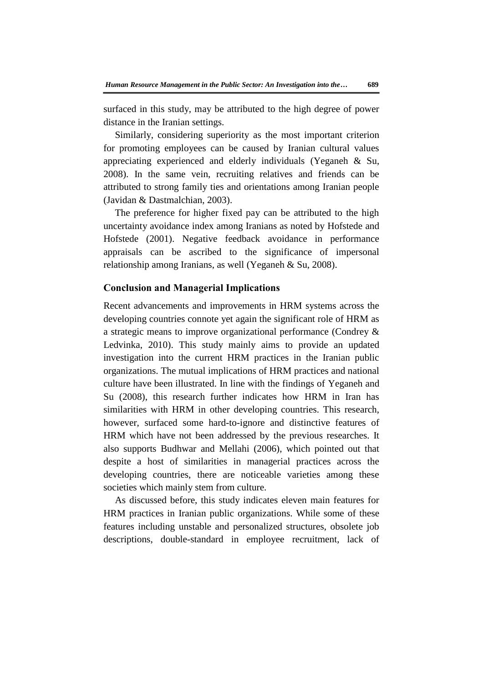surfaced in this study, may be attributed to the high degree of power distance in the Iranian settings.

Similarly, considering superiority as the most important criterion for promoting employees can be caused by Iranian cultural values appreciating experienced and elderly individuals (Yeganeh & Su, 2008). In the same vein, recruiting relatives and friends can be attributed to strong family ties and orientations among Iranian people (Javidan & Dastmalchian, 2003).

The preference for higher fixed pay can be attributed to the high uncertainty avoidance index among Iranians as noted by Hofstede and Hofstede (2001). Negative feedback avoidance in performance appraisals can be ascribed to the significance of impersonal relationship among Iranians, as well (Yeganeh & Su, 2008).

# **Conclusion and Managerial Implications**

Recent advancements and improvements in HRM systems across the developing countries connote yet again the significant role of HRM as a strategic means to improve organizational performance (Condrey & Ledvinka, 2010). This study mainly aims to provide an updated investigation into the current HRM practices in the Iranian public organizations. The mutual implications of HRM practices and national culture have been illustrated. In line with the findings of Yeganeh and Su (2008), this research further indicates how HRM in Iran has similarities with HRM in other developing countries. This research, however, surfaced some hard-to-ignore and distinctive features of HRM which have not been addressed by the previous researches. It also supports Budhwar and Mellahi (2006), which pointed out that despite a host of similarities in managerial practices across the developing countries, there are noticeable varieties among these societies which mainly stem from culture.

As discussed before, this study indicates eleven main features for HRM practices in Iranian public organizations. While some of these features including unstable and personalized structures, obsolete job descriptions, double-standard in employee recruitment, lack of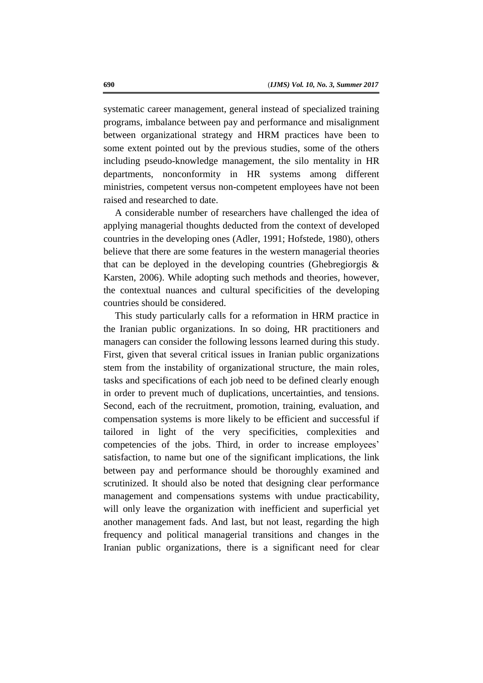systematic career management, general instead of specialized training programs, imbalance between pay and performance and misalignment between organizational strategy and HRM practices have been to some extent pointed out by the previous studies, some of the others including pseudo-knowledge management, the silo mentality in HR departments, nonconformity in HR systems among different ministries, competent versus non-competent employees have not been raised and researched to date.

A considerable number of researchers have challenged the idea of applying managerial thoughts deducted from the context of developed countries in the developing ones (Adler, 1991; Hofstede, 1980), others believe that there are some features in the western managerial theories that can be deployed in the developing countries (Ghebregiorgis & Karsten, 2006). While adopting such methods and theories, however, the contextual nuances and cultural specificities of the developing countries should be considered.

This study particularly calls for a reformation in HRM practice in the Iranian public organizations. In so doing, HR practitioners and managers can consider the following lessons learned during this study. First, given that several critical issues in Iranian public organizations stem from the instability of organizational structure, the main roles, tasks and specifications of each job need to be defined clearly enough in order to prevent much of duplications, uncertainties, and tensions. Second, each of the recruitment, promotion, training, evaluation, and compensation systems is more likely to be efficient and successful if tailored in light of the very specificities, complexities and competencies of the jobs. Third, in order to increase employees' satisfaction, to name but one of the significant implications, the link between pay and performance should be thoroughly examined and scrutinized. It should also be noted that designing clear performance management and compensations systems with undue practicability, will only leave the organization with inefficient and superficial yet another management fads. And last, but not least, regarding the high frequency and political managerial transitions and changes in the Iranian public organizations, there is a significant need for clear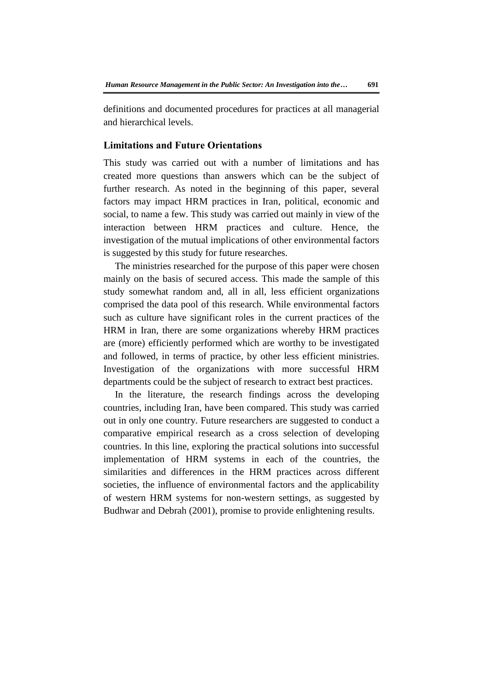definitions and documented procedures for practices at all managerial and hierarchical levels.

## **Limitations and Future Orientations**

This study was carried out with a number of limitations and has created more questions than answers which can be the subject of further research. As noted in the beginning of this paper, several factors may impact HRM practices in Iran, political, economic and social, to name a few. This study was carried out mainly in view of the interaction between HRM practices and culture. Hence, the investigation of the mutual implications of other environmental factors is suggested by this study for future researches.

The ministries researched for the purpose of this paper were chosen mainly on the basis of secured access. This made the sample of this study somewhat random and, all in all, less efficient organizations comprised the data pool of this research. While environmental factors such as culture have significant roles in the current practices of the HRM in Iran, there are some organizations whereby HRM practices are (more) efficiently performed which are worthy to be investigated and followed, in terms of practice, by other less efficient ministries. Investigation of the organizations with more successful HRM departments could be the subject of research to extract best practices.

In the literature, the research findings across the developing countries, including Iran, have been compared. This study was carried out in only one country. Future researchers are suggested to conduct a comparative empirical research as a cross selection of developing countries. In this line, exploring the practical solutions into successful implementation of HRM systems in each of the countries, the similarities and differences in the HRM practices across different societies, the influence of environmental factors and the applicability of western HRM systems for non-western settings, as suggested by Budhwar and Debrah (2001), promise to provide enlightening results.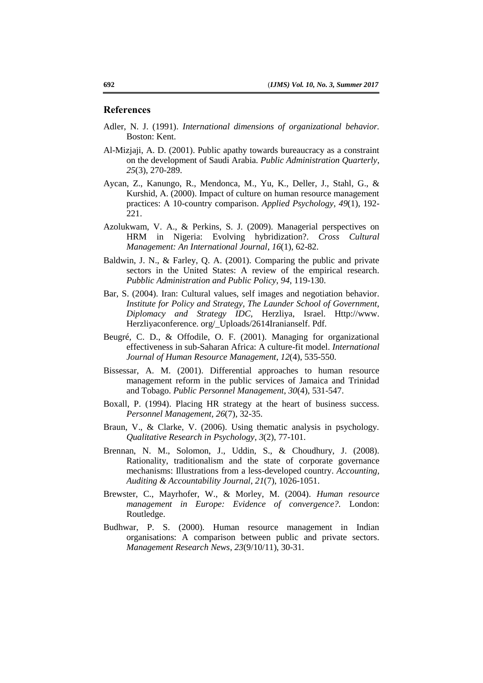#### **References**

- Adler, N. J. (1991). *International dimensions of organizational behavior.*  Boston: Kent.
- Al-Mizjaji, A. D. (2001). Public apathy towards bureaucracy as a constraint on the development of Saudi Arabia. *Public Administration Quarterly*, *25*(3), 270-289.
- Aycan, Z., Kanungo, R., Mendonca, M., Yu, K., Deller, J., Stahl, G., & Kurshid, A. (2000). Impact of culture on human resource management practices: A 10-country comparison. *Applied Psychology*, *49*(1), 192- 221.
- Azolukwam, V. A., & Perkins, S. J. (2009). Managerial perspectives on HRM in Nigeria: Evolving hybridization?. *Cross Cultural Management: An International Journal*, *16*(1), 62-82.
- Baldwin, J. N., & Farley, Q. A. (2001). Comparing the public and private sectors in the United States: A review of the empirical research. *Pubblic Administration and Public Policy*, *94*, 119-130.
- Bar, S. (2004). Iran: Cultural values, self images and negotiation behavior. *Institute for Policy and Strategy, The Launder School of Government, Diplomacy and Strategy IDC,* Herzliya, Israel. Http://www. Herzliyaconference. org/\_Uploads/2614Iranianself. Pdf.
- Beugré, C. D., & Offodile, O. F. (2001). Managing for organizational effectiveness in sub-Saharan Africa: A culture-fit model. *International Journal of Human Resource Management*, *12*(4), 535-550.
- Bissessar, A. M. (2001). Differential approaches to human resource management reform in the public services of Jamaica and Trinidad and Tobago. *Public Personnel Management*, *30*(4), 531-547.
- Boxall, P. (1994). Placing HR strategy at the heart of business success. *Personnel Management, 26*(7), 32-35.
- Braun, V., & Clarke, V. (2006). Using thematic analysis in psychology. *Qualitative Research in Psychology*, *3*(2), 77-101.
- Brennan, N. M., Solomon, J., Uddin, S., & Choudhury, J. (2008). Rationality, traditionalism and the state of corporate governance mechanisms: Illustrations from a less-developed country. *Accounting, Auditing & Accountability Journal*, *21*(7), 1026-1051.
- Brewster, C., Mayrhofer, W., & Morley, M. (2004). *Human resource management in Europe: Evidence of convergence?.* London: Routledge.
- Budhwar, P. S. (2000). Human resource management in Indian organisations: A comparison between public and private sectors. *Management Research News*, *23*(9/10/11), 30-31.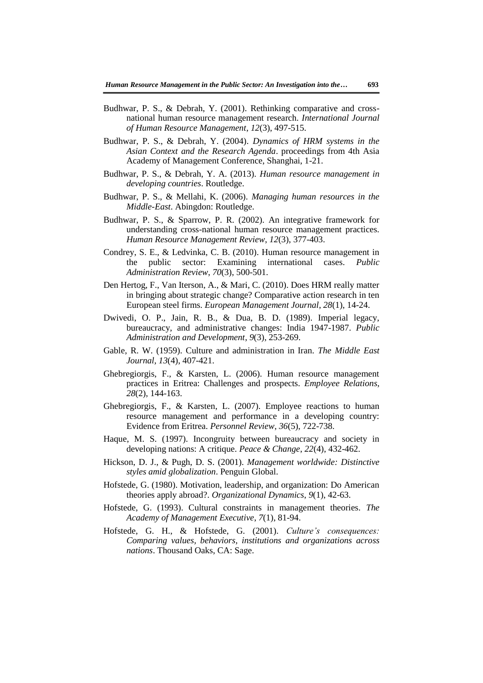- Budhwar, P. S., & Debrah, Y. (2001). Rethinking comparative and crossnational human resource management research. *International Journal of Human Resource Management*, *12*(3), 497-515.
- Budhwar, P. S., & Debrah, Y. (2004). *Dynamics of HRM systems in the Asian Context and the Research Agenda*. proceedings from 4th Asia Academy of Management Conference, Shanghai, 1-21.
- Budhwar, P. S., & Debrah, Y. A. (2013). *Human resource management in developing countries*. Routledge.
- Budhwar, P. S., & Mellahi, K. (2006). *Managing human resources in the Middle-East*. Abingdon: Routledge.
- Budhwar, P. S., & Sparrow, P. R. (2002). An integrative framework for understanding cross-national human resource management practices. *Human Resource Management Review*, *12*(3), 377-403.
- Condrey, S. E., & Ledvinka, C. B. (2010). Human resource management in the public sector: Examining international cases. *Public Administration Review*, *70*(3), 500-501.
- Den Hertog, F., Van Iterson, A., & Mari, C. (2010). Does HRM really matter in bringing about strategic change? Comparative action research in ten European steel firms. *European Management Journal*, *28*(1), 14-24.
- Dwivedi, O. P., Jain, R. B., & Dua, B. D. (1989). Imperial legacy, bureaucracy, and administrative changes: India 1947-1987. *Public Administration and Development*, *9*(3), 253-269.
- Gable, R. W. (1959). Culture and administration in Iran. *The Middle East Journal, 13*(4), 407-421.
- Ghebregiorgis, F., & Karsten, L. (2006). Human resource management practices in Eritrea: Challenges and prospects. *Employee Relations*, *28*(2), 144-163.
- Ghebregiorgis, F., & Karsten, L. (2007). Employee reactions to human resource management and performance in a developing country: Evidence from Eritrea. *Personnel Review*, *36*(5), 722-738.
- Haque, M. S. (1997). Incongruity between bureaucracy and society in developing nations: A critique. *Peace & Change*, *22*(4), 432-462.
- Hickson, D. J., & Pugh, D. S. (2001). *Management worldwide: Distinctive styles amid globalization*. Penguin Global.
- Hofstede, G. (1980). Motivation, leadership, and organization: Do American theories apply abroad?. *Organizational Dynamics*, *9*(1), 42-63.
- Hofstede, G. (1993). Cultural constraints in management theories. *The Academy of Management Executive*, *7*(1), 81-94.
- Hofstede, G. H., & Hofstede, G. (2001). *Culture's consequences: Comparing values, behaviors, institutions and organizations across nations*. Thousand Oaks, CA: Sage.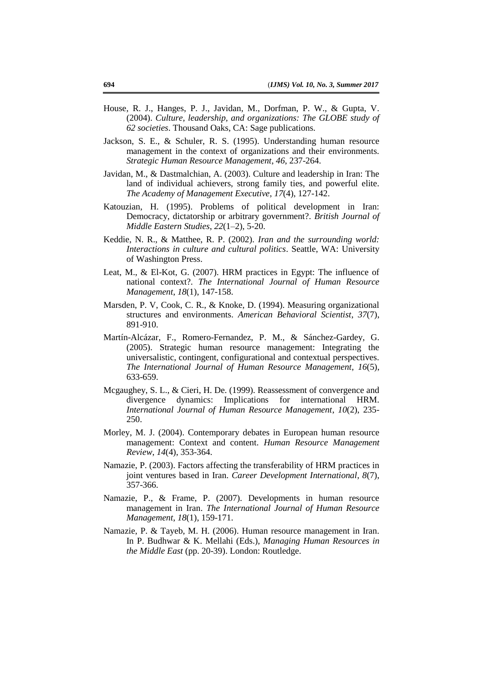- House, R. J., Hanges, P. J., Javidan, M., Dorfman, P. W., & Gupta, V. (2004). *Culture, leadership, and organizations: The GLOBE study of 62 societies*. Thousand Oaks, CA: Sage publications.
- Jackson, S. E., & Schuler, R. S. (1995). Understanding human resource management in the context of organizations and their environments. *Strategic Human Resource Management*, *46*, 237-264.
- Javidan, M., & Dastmalchian, A. (2003). Culture and leadership in Iran: The land of individual achievers, strong family ties, and powerful elite. *The Academy of Management Executive*, *17*(4), 127-142.
- Katouzian, H. (1995). Problems of political development in Iran: Democracy, dictatorship or arbitrary government?. *British Journal of Middle Eastern Studies*, *22*(1–2), 5-20.
- Keddie, N. R., & Matthee, R. P. (2002). *Iran and the surrounding world: Interactions in culture and cultural politics*. Seattle, WA: University of Washington Press.
- Leat, M., & El-Kot, G. (2007). HRM practices in Egypt: The influence of national context?. *The International Journal of Human Resource Management*, *18*(1), 147-158.
- Marsden, P. V, Cook, C. R., & Knoke, D. (1994). Measuring organizational structures and environments. *American Behavioral Scientist*, *37*(7), 891-910.
- Martín-Alcázar, F., Romero-Fernandez, P. M., & Sánchez-Gardey, G. (2005). Strategic human resource management: Integrating the universalistic, contingent, configurational and contextual perspectives. *The International Journal of Human Resource Management*, *16*(5), 633-659.
- Mcgaughey, S. L., & Cieri, H. De. (1999). Reassessment of convergence and divergence dynamics: Implications for international HRM. *International Journal of Human Resource Management*, *10*(2), 235- 250.
- Morley, M. J. (2004). Contemporary debates in European human resource management: Context and content. *Human Resource Management Review*, *14*(4), 353-364.
- Namazie, P. (2003). Factors affecting the transferability of HRM practices in joint ventures based in Iran. *Career Development International*, *8*(7), 357-366.
- Namazie, P., & Frame, P. (2007). Developments in human resource management in Iran. *The International Journal of Human Resource Management*, *18*(1), 159-171.
- Namazie, P. & Tayeb, M. H. (2006). Human resource management in Iran. In P. Budhwar & K. Mellahi (Eds.), *Managing Human Resources in the Middle East* (pp. 20-39). London: Routledge.